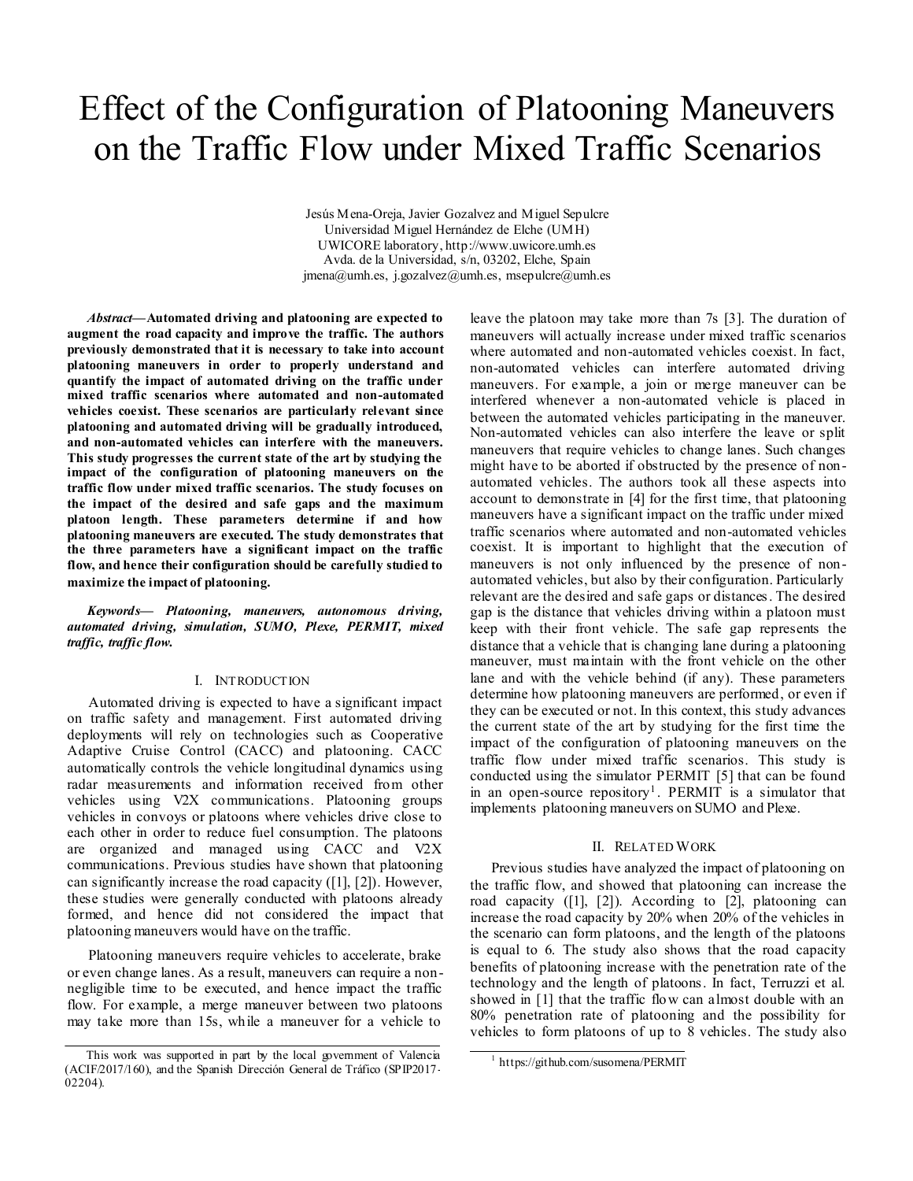# Effect of the Configuration of Platooning Maneuvers on the Traffic Flow under Mixed Traffic Scenarios

Jesús Mena-Oreja, Javier Gozalvez and Miguel Sepulcre Universidad Miguel Hernández de Elche (UMH) UWICORE laboratory, http://www.uwicore.umh.es Avda. de la Universidad, s/n, 03202, Elche, Spain  $j$ mena@umh.es,  $j$ .gozalvez@umh.es, msepulcre@umh.es

*Abstract***—Automated driving and platooning are expected to augment the road capacity and improve the traffic. The authors previously demonstrated that it is necessary to take into account platooning maneuvers in order to properly understand and quantify the impact of automated driving on the traffic under mixed traffic scenarios where automated and non-automated vehicles coexist. These scenarios are particularly relevant since platooning and automated driving will be gradually introduced, and non-automated vehicles can interfere with the maneuvers. This study progresses the current state of the art by studying the impact of the configuration of platooning maneuvers on the traffic flow under mixed traffic scenarios. The study focuses on the impact of the desired and safe gaps and the maximum platoon length. These parameters determine if and how platooning maneuvers are executed. The study demonstrates that the three parameters have a significant impact on the traffic flow, and hence their configuration should be carefully studied to maximize the impact of platooning.**

*Keywords— Platooning, maneuvers, autonomous driving, automated driving, simulation, SUMO, Plexe, PERMIT, mixed traffic, traffic flow.*

### I. INTRODUCTION

Automated driving is expected to have a significant impact on traffic safety and management. First automated driving deployments will rely on technologies such as Cooperative Adaptive Cruise Control (CACC) and platooning. CACC automatically controls the vehicle longitudinal dynamics using radar measurements and information received from other vehicles using V2X communications. Platooning groups vehicles in convoys or platoons where vehicles drive close to each other in order to reduce fuel consumption. The platoons are organized and managed using CACC and V2X communications. Previous studies have shown that platooning can significantly increase the road capacity [\(\[1\],](#page-3-0) [\[2\]\)](#page-3-1). However, these studies were generally conducted with platoons already formed, and hence did not considered the impact that platooning maneuvers would have on the traffic.

Platooning maneuvers require vehicles to accelerate, brake or even change lanes. As a result, maneuvers can require a nonnegligible time to be executed, and hence impact the traffic flow. For example, a merge maneuver between two platoons may take more than 15s, while a maneuver for a vehicle to leave the platoon may take more than 7s [\[3\].](#page-3-2) The duration of maneuvers will actually increase under mixed traffic scenarios where automated and non-automated vehicles coexist. In fact, non-automated vehicles can interfere automated driving maneuvers. For example, a join or merge maneuver can be interfered whenever a non-automated vehicle is placed in between the automated vehicles participating in the maneuver. Non-automated vehicles can also interfere the leave or split maneuvers that require vehicles to change lanes. Such changes might have to be aborted if obstructed by the presence of nonautomated vehicles. The authors took all these aspects into account to demonstrate in [\[4\]](#page-3-3) for the first time, that platooning maneuvers have a significant impact on the traffic under mixed traffic scenarios where automated and non-automated vehicles coexist. It is important to highlight that the execution of maneuvers is not only influenced by the presence of nonautomated vehicles, but also by their configuration. Particularly relevant are the desired and safe gaps or distances. The desired gap is the distance that vehicles driving within a platoon must keep with their front vehicle. The safe gap represents the distance that a vehicle that is changing lane during a platooning maneuver, must maintain with the front vehicle on the other lane and with the vehicle behind (if any). These parameters determine how platooning maneuvers are performed, or even if they can be executed or not. In this context, this study advances the current state of the art by studying for the first time the impact of the configuration of platooning maneuvers on the traffic flow under mixed traffic scenarios. This study is conducted using the simulator PERMIT [\[5\]](#page-3-4) that can be found in an open-source repository<sup>1</sup>. PERMIT is a simulator that implements platooning maneuvers on SUMO and Plexe.

#### II. RELATED WORK

Previous studies have analyzed the impact of platooning on the traffic flow, and showed that platooning can increase the road capacity [\(\[1\],](#page-3-0) [\[2\]\)](#page-3-1). According to [\[2\],](#page-3-1) platooning can increase the road capacity by 20% when 20% of the vehicles in the scenario can form platoons, and the length of the platoons is equal to 6. The study also shows that the road capacity benefits of platooning increase with the penetration rate of the technology and the length of platoons. In fact, Terruzzi et al. showed in [\[1\]](#page-3-0) that the traffic flow can almost double with an 80% penetration rate of platooning and the possibility for vehicles to form platoons of up to 8 vehicles. The study also

l

This work was supported in part by the local government of Valencia (ACIF/2017/160), and the Spanish Dirección General de Tráfico (SPIP2017- 02204).

<sup>&</sup>lt;sup>1</sup> https://github.com/susomena/PERMIT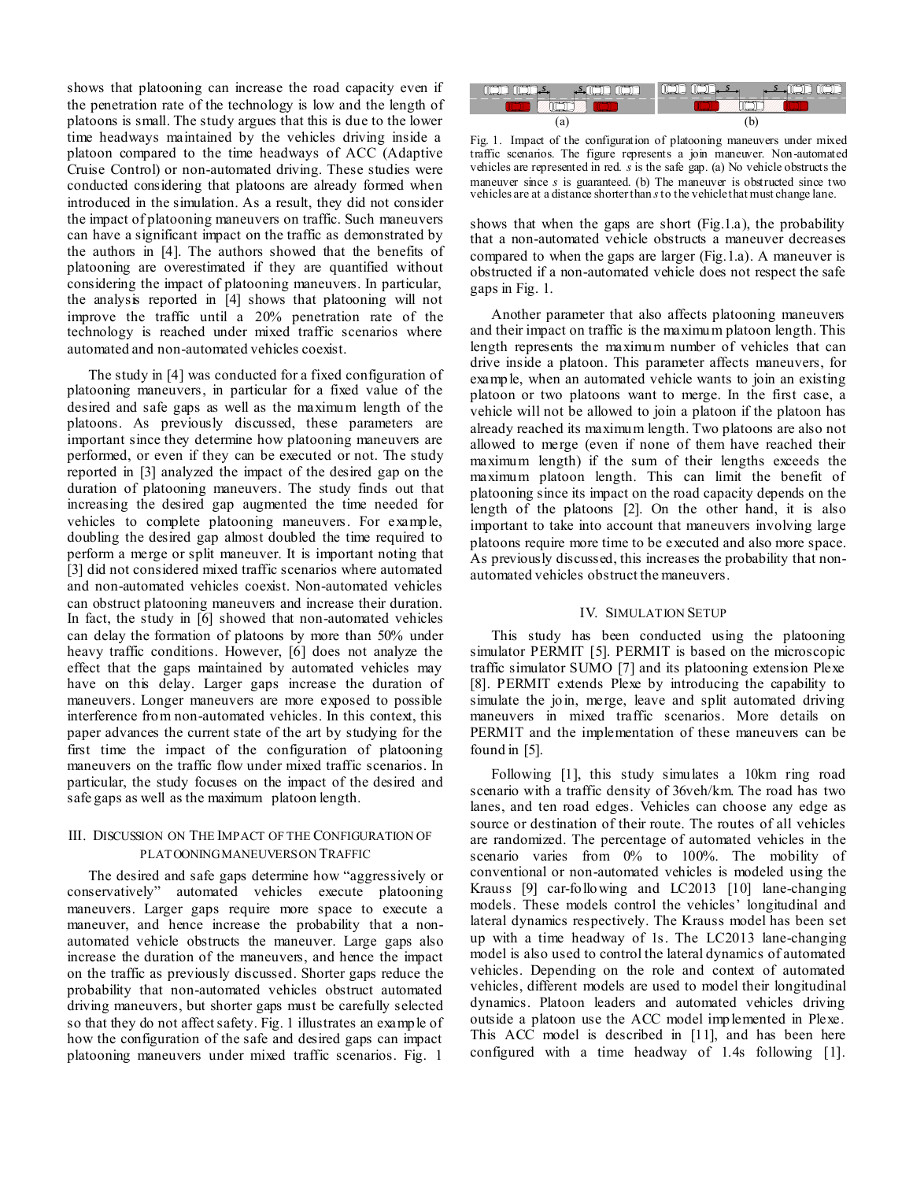shows that platooning can increase the road capacity even if the penetration rate of the technology is low and the length of platoons is small. The study argues that this is due to the lower time headways maintained by the vehicles driving inside a platoon compared to the time headways of ACC (Adaptive Cruise Control) or non-automated driving. These studies were conducted considering that platoons are already formed when introduced in the simulation. As a result, they did not consider the impact of platooning maneuvers on traffic. Such maneuvers can have a significant impact on the traffic as demonstrated by the authors in [\[4\].](#page-3-3) The authors showed that the benefits of platooning are overestimated if they are quantified without considering the impact of platooning maneuvers. In particular, the analysis reported in [\[4\]](#page-3-3) shows that platooning will not improve the traffic until a 20% penetration rate of the technology is reached under mixed traffic scenarios where automated and non-automated vehicles coexist.

The study in [\[4\]](#page-3-3) was conducted for a fixed configuration of platooning maneuvers, in particular for a fixed value of the desired and safe gaps as well as the maximum length of the platoons. As previously discussed, these parameters are important since they determine how platooning maneuvers are performed, or even if they can be executed or not. The study reported in [\[3\]](#page-3-2) analyzed the impact of the desired gap on the duration of platooning maneuvers. The study finds out that increasing the desired gap augmented the time needed for vehicles to complete platooning maneuvers. For example, doubling the desired gap almost doubled the time required to perform a merge or split maneuver. It is important noting that [\[3\]](#page-3-2) did not considered mixed traffic scenarios where automated and non-automated vehicles coexist. Non-automated vehicles can obstruct platooning maneuvers and increase their duration. In fact, the study in [\[6\]](#page-3-5) showed that non-automated vehicles can delay the formation of platoons by more than 50% under heavy traffic conditions. However, [\[6\]](#page-3-5) does not analyze the effect that the gaps maintained by automated vehicles may have on this delay. Larger gaps increase the duration of maneuvers. Longer maneuvers are more exposed to possible interference from non-automated vehicles. In this context, this paper advances the current state of the art by studying for the first time the impact of the configuration of platooning maneuvers on the traffic flow under mixed traffic scenarios. In particular, the study focuses on the impact of the desired and safe gaps as well as the maximum platoon length.

## III. DISCUSSION ON THE IMPACT OF THE CONFIGURATION OF PLATOONING MANEUVERSON TRAFFIC

The desired and safe gaps determine how "aggressively or conservatively" automated vehicles execute platooning maneuvers. Larger gaps require more space to execute a maneuver, and hence increase the probability that a nonautomated vehicle obstructs the maneuver. Large gaps also increase the duration of the maneuvers, and hence the impact on the traffic as previously discussed. Shorter gaps reduce the probability that non-automated vehicles obstruct automated driving maneuvers, but shorter gaps must be carefully selected so that they do not affect safety[. Fig. 1](#page-1-0) illustrates an example of how the configuration of the safe and desired gaps can impact platooning maneuvers under mixed traffic scenarios. [Fig. 1](#page-1-0)



<span id="page-1-0"></span>Fig. 1. Impact of the configuration of platooning maneuvers under mixed traffic scenarios. The figure represents a join maneuver. Non-automated vehicles are represented in red. *s* is the safe gap. (a) No vehicle obstructs the maneuver since *s* is guaranteed. (b) The maneuver is obstructed since two vehicles are at a distance shorter than *s*to the vehicle that must change lane.

shows that when the gaps are short (Fig.1.a), the probability that a non-automated vehicle obstructs a maneuver decreases compared to when the gaps are larger (Fig.1.a). A maneuver is obstructed if a non-automated vehicle does not respect the safe gaps i[n Fig. 1.](#page-1-0)

Another parameter that also affects platooning maneuvers and their impact on traffic is the maximum platoon length. This length represents the maximum number of vehicles that can drive inside a platoon. This parameter affects maneuvers, for example, when an automated vehicle wants to join an existing platoon or two platoons want to merge. In the first case, a vehicle will not be allowed to join a platoon if the platoon has already reached its maximum length. Two platoons are also not allowed to merge (even if none of them have reached their maximum length) if the sum of their lengths exceeds the maximum platoon length. This can limit the benefit of platooning since its impact on the road capacity depends on the length of the platoons [\[2\].](#page-3-1) On the other hand, it is also important to take into account that maneuvers involving large platoons require more time to be executed and also more space. As previously discussed, this increases the probability that nonautomated vehicles obstruct the maneuvers.

#### IV. SIMULATION SETUP

This study has been conducted using the platooning simulator PERMIT [\[5\].](#page-3-4) PERMIT is based on the microscopic traffic simulator SUMO [\[7\]](#page-3-6) and its platooning extension Plexe [\[8\].](#page-3-7) PERMIT extends Plexe by introducing the capability to simulate the join, merge, leave and split automated driving maneuvers in mixed traffic scenarios. More details on PERMIT and the implementation of these maneuvers can be found in [\[5\].](#page-3-4)

Following [\[1\],](#page-3-0) this study simulates a 10km ring road scenario with a traffic density of 36veh/km. The road has two lanes, and ten road edges. Vehicles can choose any edge as source or destination of their route. The routes of all vehicles are randomized. The percentage of automated vehicles in the scenario varies from 0% to 100%. The mobility of conventional or non-automated vehicles is modeled using the Krauss [\[9\]](#page-3-8) car-following and LC2013 [\[10\]](#page-3-9) lane-changing models. These models control the vehicles' longitudinal and lateral dynamics respectively. The Krauss model has been set up with a time headway of 1s. The LC2013 lane-changing model is also used to control the lateral dynamics of automated vehicles. Depending on the role and context of automated vehicles, different models are used to model their longitudinal dynamics. Platoon leaders and automated vehicles driving outside a platoon use the ACC model implemented in Plexe. This ACC model is described in [\[11\],](#page-3-10) and has been here configured with a time headway of 1.4s following [\[1\].](#page-3-0)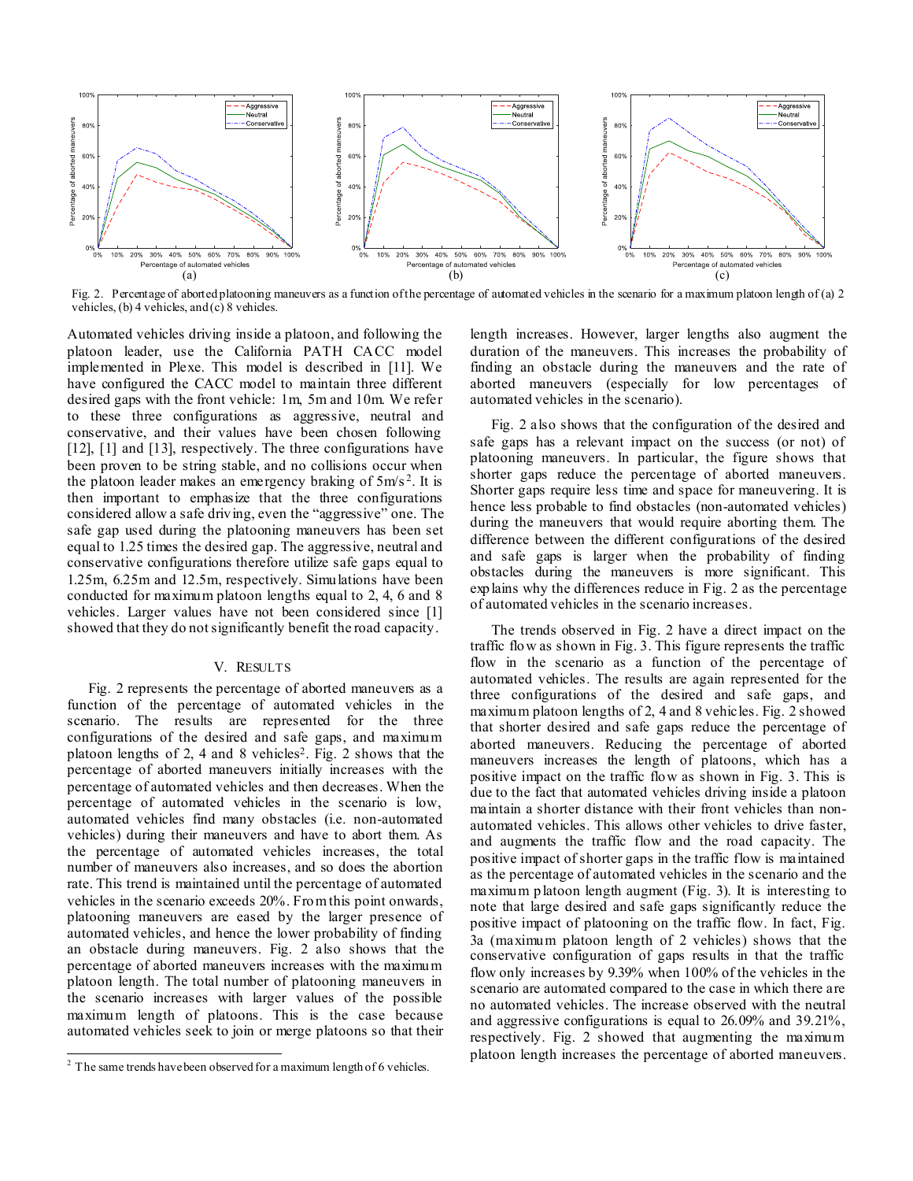

<span id="page-2-0"></span>Fig. 2. Percentage of aborted platooning maneuvers as a function of the percentage of automated vehicles in the scenario for a maximum platoon length of (a) 2 vehicles, (b) 4 vehicles, and (c) 8 vehicles.

Automated vehicles driving inside a platoon, and following the platoon leader, use the California PATH CACC model implemented in Plexe. This model is described in [\[11\].](#page-3-10) We have configured the CACC model to maintain three different desired gaps with the front vehicle: 1m, 5m and 10m. We refer to these three configurations as aggressive, neutral and conservative, and their values have been chosen following [\[12\],](#page-3-11) [\[1\]](#page-3-0) and [\[13\],](#page-3-12) respectively. The three configurations have been proven to be string stable, and no collisions occur when the platoon leader makes an emergency braking of  $5m/s^2$ . It is then important to emphasize that the three configurations considered allow a safe driving, even the "aggressive" one. The safe gap used during the platooning maneuvers has been set equal to 1.25 times the desired gap. The aggressive, neutral and conservative configurations therefore utilize safe gaps equal to 1.25m, 6.25m and 12.5m, respectively. Simulations have been conducted for maximum platoon lengths equal to 2, 4, 6 and 8 vehicles. Larger values have not been considered since [\[1\]](#page-3-0) showed that they do not significantly benefit the road capacity.

## V. RESULTS

[Fig. 2](#page-2-0) represents the percentage of aborted maneuvers as a function of the percentage of automated vehicles in the scenario. The results are represented for the three configurations of the desired and safe gaps, and maximum platoon lengths of 2, 4 and 8 vehicles<sup>2</sup>. [Fig. 2](#page-2-0) shows that the percentage of aborted maneuvers initially increases with the percentage of automated vehicles and then decreases. When the percentage of automated vehicles in the scenario is low, automated vehicles find many obstacles (i.e. non-automated vehicles) during their maneuvers and have to abort them. As the percentage of automated vehicles increases, the total number of maneuvers also increases, and so does the abortion rate. This trend is maintained until the percentage of automated vehicles in the scenario exceeds 20%. From this point onwards, platooning maneuvers are eased by the larger presence of automated vehicles, and hence the lower probability of finding an obstacle during maneuvers. [Fig. 2](#page-2-0) also shows that the percentage of aborted maneuvers increases with the maximum platoon length. The total number of platooning maneuvers in the scenario increases with larger values of the possible maximum length of platoons. This is the case because automated vehicles seek to join or merge platoons so that their

l

length increases. However, larger lengths also augment the duration of the maneuvers. This increases the probability of finding an obstacle during the maneuvers and the rate of aborted maneuvers (especially for low percentages of automated vehicles in the scenario).

[Fig. 2](#page-2-0) also shows that the configuration of the desired and safe gaps has a relevant impact on the success (or not) of platooning maneuvers. In particular, the figure shows that shorter gaps reduce the percentage of aborted maneuvers. Shorter gaps require less time and space for maneuvering. It is hence less probable to find obstacles (non-automated vehicles) during the maneuvers that would require aborting them. The difference between the different configurations of the desired and safe gaps is larger when the probability of finding obstacles during the maneuvers is more significant. This explains why the differences reduce in [Fig. 2](#page-2-0) as the percentage of automated vehicles in the scenario increases.

The trends observed in [Fig. 2](#page-2-0) have a direct impact on the traffic flow as shown i[n Fig. 3.](#page-3-13) This figure represents the traffic flow in the scenario as a function of the percentage of automated vehicles. The results are again represented for the three configurations of the desired and safe gaps, and maximum platoon lengths of 2, 4 and 8 vehicles[. Fig. 2](#page-2-0) showed that shorter desired and safe gaps reduce the percentage of aborted maneuvers. Reducing the percentage of aborted maneuvers increases the length of platoons, which has a positive impact on the traffic flow as shown in [Fig. 3.](#page-3-13) This is due to the fact that automated vehicles driving inside a platoon maintain a shorter distance with their front vehicles than nonautomated vehicles. This allows other vehicles to drive faster, and augments the traffic flow and the road capacity. The positive impact of shorter gaps in the traffic flow is maintained as the percentage of automated vehicles in the scenario and the maximum platoon length augment [\(Fig. 3\)](#page-3-13). It is interesting to note that large desired and safe gaps significantly reduce the positive impact of platooning on the traffic flow. In fact, [Fig.](#page-3-13)  [3a](#page-3-13) (maximum platoon length of 2 vehicles) shows that the conservative configuration of gaps results in that the traffic flow only increases by 9.39% when 100% of the vehicles in the scenario are automated compared to the case in which there are no automated vehicles. The increase observed with the neutral and aggressive configurations is equal to 26.09% and 39.21%, respectively. [Fig. 2](#page-2-0) showed that augmenting the maximum platoon length increases the percentage of aborted maneuvers.

 $2^2$  The same trends have been observed for a maximum length of 6 vehicles.